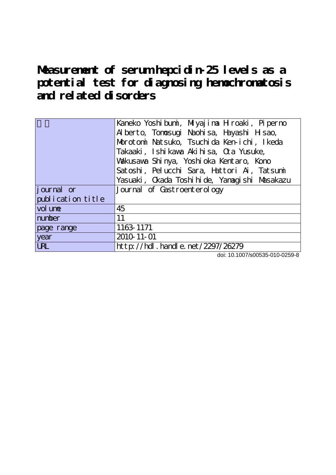**Measurement of serum hepcidin-25 levels as a potential test for diagnosing hemochromatosis and related disorders**

|                    | Kaneko Yoshibumi, Miyajima Hroaki, Piperno   |
|--------------------|----------------------------------------------|
|                    | Alberto, Tonosugi Naohisa, Hayashi Hisao,    |
|                    | Morotoni Natsuko, Tsuchida Ken-ichi, Ikeda   |
|                    | Takaaki, Ishi kawa Akihisa, Qa Yusuke,       |
|                    | Valkusawa Shinya, Yoshioka Kentaro, Kono     |
|                    | Satoshi, Pelucchi Sara, Hattori Ai, Tatsumi  |
|                    | Yasuaki, Ckada Toshihide, Yanagishi Masakazu |
| <i>j</i> ournal or | Journal of Castroenterology                  |
| publication title  |                                              |
| vol une            | 45                                           |
| number             | 11                                           |
| page range         | 1163 1171                                    |
| year               | 2010 11 - 01                                 |
| <b>URL</b>         | http://hdl.handle.net/2297/26279             |

doi: 10.1007/s00535-010-0259-8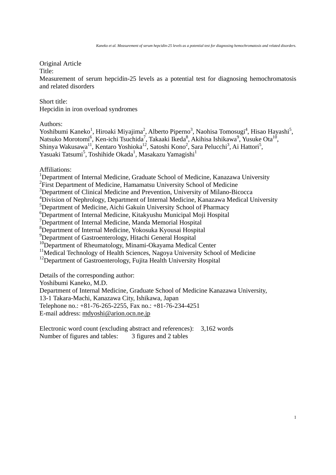Original Article

Title:

Measurement of serum hepcidin-25 levels as a potential test for diagnosing hemochromatosis and related disorders

Short title: Hepcidin in iron overload syndromes

Authors:

Yoshibumi Kaneko<sup>1</sup>, Hiroaki Miyajima<sup>2</sup>, Alberto Piperno<sup>3</sup>, Naohisa Tomosugi<sup>4</sup>, Hisao Hayashi<sup>5</sup>, Natsuko Morotomi<sup>6</sup>, Ken-ichi Tsuchida<sup>7</sup>, Takaaki Ikeda<sup>8</sup>, Akihisa Ishikawa<sup>9</sup>, Yusuke Ota<sup>10</sup>, Shinya Wakusawa<sup>11</sup>, Kentaro Yoshioka<sup>12</sup>, Satoshi Kono<sup>2</sup>, Sara Pelucchi<sup>3</sup>, Ai Hattori<sup>5</sup>, Yasuaki Tatsumi<sup>5</sup>, Toshihide Okada<sup>1</sup>, Masakazu Yamagishi<sup>1</sup>

Affiliations:

<sup>1</sup>Department of Internal Medicine, Graduate School of Medicine, Kanazawa University

<sup>2</sup>First Department of Medicine, Hamamatsu University School of Medicine

<sup>3</sup>Department of Clinical Medicine and Prevention, University of Milano-Bicocca

<sup>4</sup>Division of Nephrology, Department of Internal Medicine, Kanazawa Medical University

5 Department of Medicine, Aichi Gakuin University School of Pharmacy

6 Department of Internal Medicine, Kitakyushu Municipal Moji Hospital

7 Department of Internal Medicine, Manda Memorial Hospital

8 Department of Internal Medicine, Yokosuka Kyousai Hospital

9 Department of Gastroenterology, Hitachi General Hospital

<sup>10</sup>Department of Rheumatology, Minami-Okayama Medical Center

 $11$ Medical Technology of Health Sciences, Nagoya University School of Medicine

<sup>12</sup>Department of Gastroenterology, Fujita Health University Hospital

Details of the corresponding author:

Yoshibumi Kaneko, M.D.

Department of Internal Medicine, Graduate School of Medicine Kanazawa University,

13-1 Takara-Machi, Kanazawa City, Ishikawa, Japan

Telephone no.: +81-76-265-2255, Fax no.: +81-76-234-4251

E-mail address: mdyoshi@arion.ocn.ne.jp

Electronic word count (excluding abstract and references): 3,162 words Number of figures and tables: 3 figures and 2 tables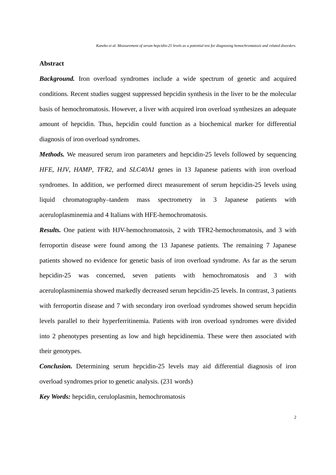# **Abstract**

*Background.* Iron overload syndromes include a wide spectrum of genetic and acquired conditions. Recent studies suggest suppressed hepcidin synthesis in the liver to be the molecular basis of hemochromatosis. However, a liver with acquired iron overload synthesizes an adequate amount of hepcidin. Thus, hepcidin could function as a biochemical marker for differential diagnosis of iron overload syndromes.

*Methods.* We measured serum iron parameters and hepcidin-25 levels followed by sequencing *HFE*, *HJV*, *HAMP*, *TFR2*, and *SLC40A1* genes in 13 Japanese patients with iron overload syndromes. In addition, we performed direct measurement of serum hepcidin-25 levels using liquid chromatography–tandem mass spectrometry in 3 Japanese patients with aceruloplasminemia and 4 Italians with HFE-hemochromatosis.

*Results.* One patient with HJV-hemochromatosis, 2 with TFR2-hemochromatosis, and 3 with ferroportin disease were found among the 13 Japanese patients. The remaining 7 Japanese patients showed no evidence for genetic basis of iron overload syndrome. As far as the serum hepcidin-25 was concerned, seven patients with hemochromatosis and 3 with aceruloplasminemia showed markedly decreased serum hepcidin-25 levels. In contrast, 3 patients with ferroportin disease and 7 with secondary iron overload syndromes showed serum hepcidin levels parallel to their hyperferritinemia. Patients with iron overload syndromes were divided into 2 phenotypes presenting as low and high hepcidinemia. These were then associated with their genotypes.

*Conclusion.* Determining serum hepcidin-25 levels may aid differential diagnosis of iron overload syndromes prior to genetic analysis. (231 words)

*Key Words:* hepcidin, ceruloplasmin, hemochromatosis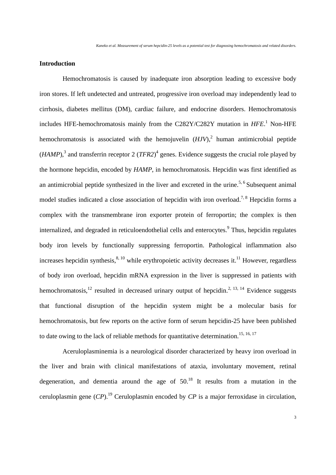# **Introduction**

Hemochromatosis is caused by inadequate iron absorption leading to excessive body iron stores. If left undetected and untreated, progressive iron overload may independently lead to cirrhosis, diabetes mellitus (DM), cardiac failure, and endocrine disorders. Hemochromatosis includes HFE-hemochromatosis mainly from the C282Y/C282Y mutation in *HFE*.<sup>1</sup> Non-HFE hemochromatosis is associated with the hemojuvelin  $(HJV)$ , human antimicrobial peptide  $(HAMP)$ ,<sup>3</sup> and transferrin receptor 2  $(TFR2)^4$  genes. Evidence suggests the crucial role played by the hormone hepcidin, encoded by *HAMP*, in hemochromatosis. Hepcidin was first identified as an antimicrobial peptide synthesized in the liver and excreted in the urine.<sup>5, 6</sup> Subsequent animal model studies indicated a close association of hepcidin with iron overload.<sup>7, 8</sup> Hepcidin forms a complex with the transmembrane iron exporter protein of ferroportin; the complex is then internalized, and degraded in reticuloendothelial cells and enterocytes.<sup>9</sup> Thus, hepcidin regulates body iron levels by functionally suppressing ferroportin. Pathological inflammation also increases hepcidin synthesis, $8,10$  while erythropoietic activity decreases it.<sup>11</sup> However, regardless of body iron overload, hepcidin mRNA expression in the liver is suppressed in patients with hemochromatosis,<sup>12</sup> resulted in decreased urinary output of hepcidin.<sup>2, 13, 14</sup> Evidence suggests that functional disruption of the hepcidin system might be a molecular basis for hemochromatosis, but few reports on the active form of serum hepcidin-25 have been published to date owing to the lack of reliable methods for quantitative determination.<sup>15, 16, 17</sup>

Aceruloplasminemia is a neurological disorder characterized by heavy iron overload in the liver and brain with clinical manifestations of ataxia, involuntary movement, retinal degeneration, and dementia around the age of  $50<sup>18</sup>$  It results from a mutation in the ceruloplasmin gene (*CP*).19 Ceruloplasmin encoded by *CP* is a major ferroxidase in circulation,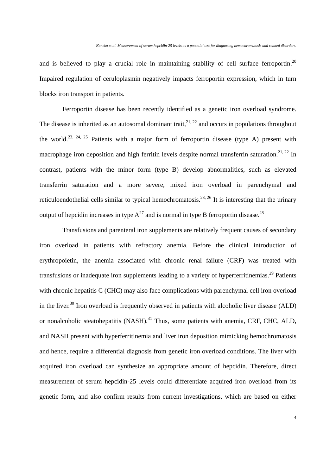and is believed to play a crucial role in maintaining stability of cell surface ferroportin.<sup>20</sup> Impaired regulation of ceruloplasmin negatively impacts ferroportin expression, which in turn blocks iron transport in patients.

Ferroportin disease has been recently identified as a genetic iron overload syndrome. The disease is inherited as an autosomal dominant trait,  $2^{1, 22}$  and occurs in populations throughout the world.<sup>23, 24, 25</sup> Patients with a major form of ferroportin disease (type A) present with macrophage iron deposition and high ferritin levels despite normal transferrin saturation.<sup>21, 22</sup> In contrast, patients with the minor form (type B) develop abnormalities, such as elevated transferrin saturation and a more severe, mixed iron overload in parenchymal and reticuloendothelial cells similar to typical hemochromatosis.<sup>23, 26</sup> It is interesting that the urinary output of hepcidin increases in type  $A^{27}$  and is normal in type B ferroportin disease.<sup>28</sup>

Transfusions and parenteral iron supplements are relatively frequent causes of secondary iron overload in patients with refractory anemia. Before the clinical introduction of erythropoietin, the anemia associated with chronic renal failure (CRF) was treated with transfusions or inadequate iron supplements leading to a variety of hyperferritinemias.<sup>29</sup> Patients with chronic hepatitis C (CHC) may also face complications with parenchymal cell iron overload in the liver.<sup>30</sup> Iron overload is frequently observed in patients with alcoholic liver disease (ALD) or nonalcoholic steatohepatitis (NASH).<sup>31</sup> Thus, some patients with anemia, CRF, CHC, ALD, and NASH present with hyperferritinemia and liver iron deposition mimicking hemochromatosis and hence, require a differential diagnosis from genetic iron overload conditions. The liver with acquired iron overload can synthesize an appropriate amount of hepcidin. Therefore, direct measurement of serum hepcidin-25 levels could differentiate acquired iron overload from its genetic form, and also confirm results from current investigations, which are based on either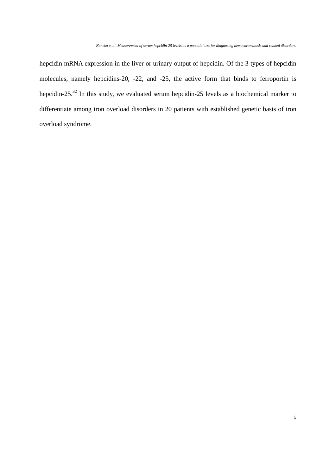hepcidin mRNA expression in the liver or urinary output of hepcidin. Of the 3 types of hepcidin molecules, namely hepcidins-20, -22, and -25, the active form that binds to ferroportin is hepcidin-25.32 In this study, we evaluated serum hepcidin-25 levels as a biochemical marker to differentiate among iron overload disorders in 20 patients with established genetic basis of iron overload syndrome.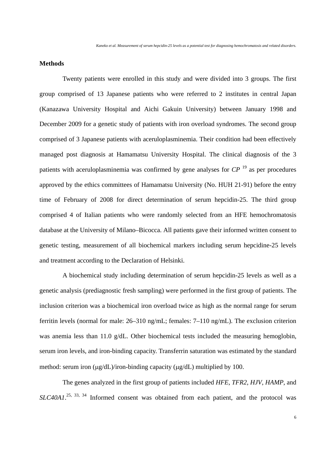# **Methods**

Twenty patients were enrolled in this study and were divided into 3 groups. The first group comprised of 13 Japanese patients who were referred to 2 institutes in central Japan (Kanazawa University Hospital and Aichi Gakuin University) between January 1998 and December 2009 for a genetic study of patients with iron overload syndromes. The second group comprised of 3 Japanese patients with aceruloplasminemia. Their condition had been effectively managed post diagnosis at Hamamatsu University Hospital. The clinical diagnosis of the 3 patients with aceruloplasminemia was confirmed by gene analyses for *CP* 19 as per procedures approved by the ethics committees of Hamamatsu University (No. HUH 21-91) before the entry time of February of 2008 for direct determination of serum hepcidin-25. The third group comprised 4 of Italian patients who were randomly selected from an HFE hemochromatosis database at the University of Milano–Bicocca. All patients gave their informed written consent to genetic testing, measurement of all biochemical markers including serum hepcidine-25 levels and treatment according to the Declaration of Helsinki.

A biochemical study including determination of serum hepcidin-25 levels as well as a genetic analysis (prediagnostic fresh sampling) were performed in the first group of patients. The inclusion criterion was a biochemical iron overload twice as high as the normal range for serum ferritin levels (normal for male: 26–310 ng/mL; females: 7–110 ng/mL). The exclusion criterion was anemia less than 11.0 g/dL. Other biochemical tests included the measuring hemoglobin, serum iron levels, and iron-binding capacity. Transferrin saturation was estimated by the standard method: serum iron  $(\mu g/dL)/i$ ron-binding capacity  $(\mu g/dL)$  multiplied by 100.

The genes analyzed in the first group of patients included *HFE*, *TFR2*, *HJV*, *HAMP*, and *SLC40A1*. 25, 33, 34 Informed consent was obtained from each patient, and the protocol was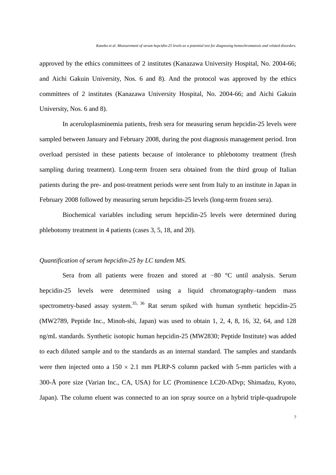approved by the ethics committees of 2 institutes (Kanazawa University Hospital, No. 2004-66; and Aichi Gakuin University, Nos. 6 and 8). And the protocol was approved by the ethics committees of 2 institutes (Kanazawa University Hospital, No. 2004-66; and Aichi Gakuin University, Nos. 6 and 8).

In aceruloplasminemia patients, fresh sera for measuring serum hepcidin-25 levels were sampled between January and February 2008, during the post diagnosis management period. Iron overload persisted in these patients because of intolerance to phlebotomy treatment (fresh sampling during treatment). Long-term frozen sera obtained from the third group of Italian patients during the pre- and post-treatment periods were sent from Italy to an institute in Japan in February 2008 followed by measuring serum hepcidin-25 levels (long-term frozen sera).

Biochemical variables including serum hepcidin-25 levels were determined during phlebotomy treatment in 4 patients (cases 3, 5, 18, and 20).

## *Quantification of serum hepcidin-25 by LC tandem MS.*

 Sera from all patients were frozen and stored at −80 °C until analysis. Serum hepcidin-25 levels were determined using a liquid chromatography–tandem mass spectrometry-based assay system.<sup>35, 36</sup> Rat serum spiked with human synthetic hepcidin-25 (MW2789, Peptide Inc., Minoh-shi, Japan) was used to obtain 1, 2, 4, 8, 16, 32, 64, and 128 ng/mL standards. Synthetic isotopic human hepcidin-25 (MW2830; Peptide Institute) was added to each diluted sample and to the standards as an internal standard. The samples and standards were then injected onto a  $150 \times 2.1$  mm PLRP-S column packed with 5-mm particles with a 300-Å pore size (Varian Inc., CA, USA) for LC (Prominence LC20-ADvp; Shimadzu, Kyoto, Japan). The column eluent was connected to an ion spray source on a hybrid triple-quadrupole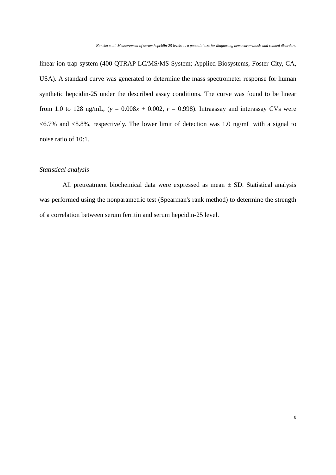linear ion trap system (400 QTRAP LC/MS/MS System; Applied Biosystems, Foster City, CA, USA). A standard curve was generated to determine the mass spectrometer response for human synthetic hepcidin-25 under the described assay conditions. The curve was found to be linear from 1.0 to 128 ng/mL,  $(y = 0.008x + 0.002, r = 0.998)$ . Intraassay and interassay CVs were  $\leq 6.7\%$  and  $\leq 8.8\%$ , respectively. The lower limit of detection was 1.0 ng/mL with a signal to noise ratio of 10:1.

# *Statistical analysis*

All pretreatment biochemical data were expressed as mean  $\pm$  SD. Statistical analysis was performed using the nonparametric test (Spearman's rank method) to determine the strength of a correlation between serum ferritin and serum hepcidin-25 level.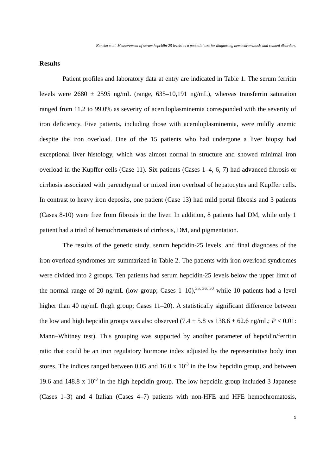## **Results**

 Patient profiles and laboratory data at entry are indicated in Table 1. The serum ferritin levels were  $2680 \pm 2595$  ng/mL (range,  $635-10,191$  ng/mL), whereas transferrin saturation ranged from 11.2 to 99.0% as severity of aceruloplasminemia corresponded with the severity of iron deficiency. Five patients, including those with aceruloplasminemia, were mildly anemic despite the iron overload. One of the 15 patients who had undergone a liver biopsy had exceptional liver histology, which was almost normal in structure and showed minimal iron overload in the Kupffer cells (Case 11). Six patients (Cases 1–4, 6, 7) had advanced fibrosis or cirrhosis associated with parenchymal or mixed iron overload of hepatocytes and Kupffer cells. In contrast to heavy iron deposits, one patient (Case 13) had mild portal fibrosis and 3 patients (Cases 8-10) were free from fibrosis in the liver. In addition, 8 patients had DM, while only 1 patient had a triad of hemochromatosis of cirrhosis, DM, and pigmentation.

The results of the genetic study, serum hepcidin-25 levels, and final diagnoses of the iron overload syndromes are summarized in Table 2. The patients with iron overload syndromes were divided into 2 groups. Ten patients had serum hepcidin-25 levels below the upper limit of the normal range of 20 ng/mL (low group; Cases  $1-10$ ),<sup>35, 36, 50</sup> while 10 patients had a level higher than 40 ng/mL (high group; Cases 11–20). A statistically significant difference between the low and high hepcidin groups was also observed  $(7.4 \pm 5.8 \text{ vs } 138.6 \pm 62.6 \text{ ng/mL}; P < 0.01$ : Mann–Whitney test). This grouping was supported by another parameter of hepcidin/ferritin ratio that could be an iron regulatory hormone index adjusted by the representative body iron stores. The indices ranged between 0.05 and 16.0 x  $10^{-3}$  in the low hepcidin group, and between 19.6 and 148.8 x  $10^{-3}$  in the high hepcidin group. The low hepcidin group included 3 Japanese (Cases 1–3) and 4 Italian (Cases 4–7) patients with non-HFE and HFE hemochromatosis,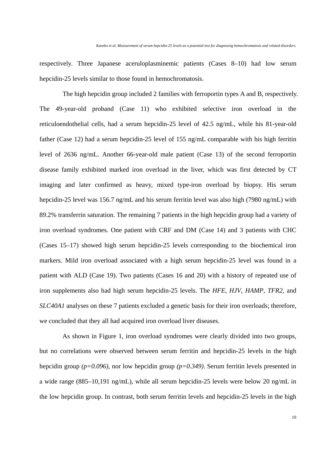respectively. Three Japanese aceruloplasminemic patients (Cases 8–10) had low serum hepcidin-25 levels similar to those found in hemochromatosis.

The high hepcidin group included 2 families with ferroportin types A and B, respectively. The 49-year-old proband (Case 11) who exhibited selective iron overload in the reticuloendothelial cells, had a serum hepcidin-25 level of 42.5 ng/mL, while his 81-year-old father (Case 12) had a serum hepcidin-25 level of 155 ng/mL comparable with his high ferritin level of 2636 ng/mL. Another 66-year-old male patient (Case 13) of the second ferroportin disease family exhibited marked iron overload in the liver, which was first detected by CT imaging and later confirmed as heavy, mixed type-iron overload by biopsy. His serum hepcidin-25 level was 156.7 ng/mL and his serum ferritin level was also high (7980 ng/mL) with 89.2% transferrin saturation. The remaining 7 patients in the high hepcidin group had a variety of iron overload syndromes. One patient with CRF and DM (Case 14) and 3 patients with CHC (Cases 15–17) showed high serum hepcidin-25 levels corresponding to the biochemical iron markers. Mild iron overload associated with a high serum hepcidin-25 level was found in a patient with ALD (Case 19). Two patients (Cases 16 and 20) with a history of repeated use of iron supplements also had high serum hepcidin-25 levels. The *HFE*, *HJV*, *HAMP*, *TFR2*, and *SLC40A1* analyses on these 7 patients excluded a genetic basis for their iron overloads; therefore, we concluded that they all had acquired iron overload liver diseases.

As shown in Figure 1, iron overload syndromes were clearly divided into two groups, but no correlations were observed between serum ferritin and hepcidin-25 levels in the high hepcidin group *(p=0.096)*, nor low hepcidin group *(p=0.349)*. Serum ferritin levels presented in a wide range (885–10,191 ng/mL), while all serum hepcidin-25 levels were below 20 ng/mL in the low hepcidin group. In contrast, both serum ferritin levels and hepcidin-25 levels in the high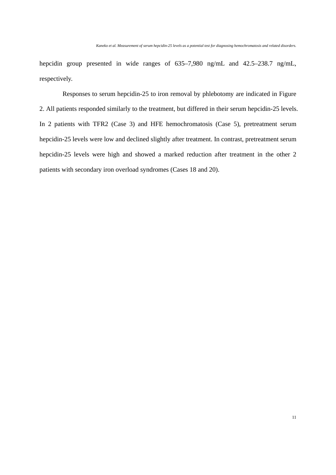hepcidin group presented in wide ranges of 635–7,980 ng/mL and 42.5–238.7 ng/mL, respectively.

Responses to serum hepcidin-25 to iron removal by phlebotomy are indicated in Figure 2. All patients responded similarly to the treatment, but differed in their serum hepcidin-25 levels. In 2 patients with TFR2 (Case 3) and HFE hemochromatosis (Case 5), pretreatment serum hepcidin-25 levels were low and declined slightly after treatment. In contrast, pretreatment serum hepcidin-25 levels were high and showed a marked reduction after treatment in the other 2 patients with secondary iron overload syndromes (Cases 18 and 20).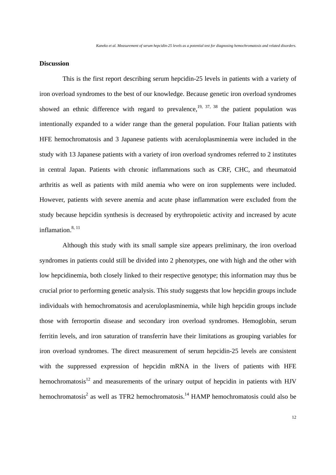### **Discussion**

 This is the first report describing serum hepcidin-25 levels in patients with a variety of iron overload syndromes to the best of our knowledge. Because genetic iron overload syndromes showed an ethnic difference with regard to prevalence,  $19, 37, 38$  the patient population was intentionally expanded to a wider range than the general population. Four Italian patients with HFE hemochromatosis and 3 Japanese patients with aceruloplasminemia were included in the study with 13 Japanese patients with a variety of iron overload syndromes referred to 2 institutes in central Japan. Patients with chronic inflammations such as CRF, CHC, and rheumatoid arthritis as well as patients with mild anemia who were on iron supplements were included. However, patients with severe anemia and acute phase inflammation were excluded from the study because hepcidin synthesis is decreased by erythropoietic activity and increased by acute inflamation. $8,11$ 

Although this study with its small sample size appears preliminary, the iron overload syndromes in patients could still be divided into 2 phenotypes, one with high and the other with low hepcidinemia, both closely linked to their respective genotype; this information may thus be crucial prior to performing genetic analysis. This study suggests that low hepcidin groups include individuals with hemochromatosis and aceruloplasminemia, while high hepcidin groups include those with ferroportin disease and secondary iron overload syndromes. Hemoglobin, serum ferritin levels, and iron saturation of transferrin have their limitations as grouping variables for iron overload syndromes. The direct measurement of serum hepcidin-25 levels are consistent with the suppressed expression of hepcidin mRNA in the livers of patients with HFE hemochromatosis $12$  and measurements of the urinary output of hepcidin in patients with HJV hemochromatosis<sup>2</sup> as well as TFR2 hemochromatosis.<sup>14</sup> HAMP hemochromatosis could also be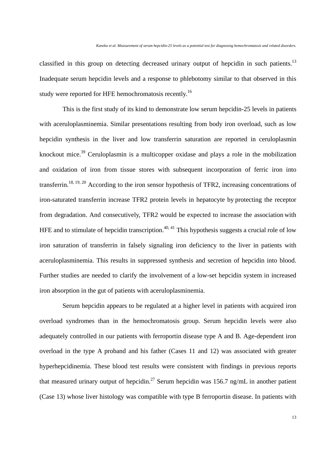classified in this group on detecting decreased urinary output of hepcidin in such patients.<sup>13</sup> Inadequate serum hepcidin levels and a response to phlebotomy similar to that observed in this study were reported for HFE hemochromatosis recently.<sup>16</sup>

This is the first study of its kind to demonstrate low serum hepcidin-25 levels in patients with aceruloplasminemia. Similar presentations resulting from body iron overload, such as low hepcidin synthesis in the liver and low transferrin saturation are reported in ceruloplasmin knockout mice.<sup>39</sup> Ceruloplasmin is a multicopper oxidase and plays a role in the mobilization and oxidation of iron from tissue stores with subsequent incorporation of ferric iron into transferrin.<sup>18, 19, 20</sup> According to the iron sensor hypothesis of TFR2, increasing concentrations of iron-saturated transferrin increase TFR2 protein levels in hepatocyte by protecting the receptor from degradation. And consecutively, TFR2 would be expected to increase the association with HFE and to stimulate of hepcidin transcription.<sup>40, 41</sup> This hypothesis suggests a crucial role of low iron saturation of transferrin in falsely signaling iron deficiency to the liver in patients with aceruloplasminemia. This results in suppressed synthesis and secretion of hepcidin into blood. Further studies are needed to clarify the involvement of a low-set hepcidin system in increased iron absorption in the gut of patients with aceruloplasminemia.

 Serum hepcidin appears to be regulated at a higher level in patients with acquired iron overload syndromes than in the hemochromatosis group. Serum hepcidin levels were also adequately controlled in our patients with ferroportin disease type A and B. Age-dependent iron overload in the type A proband and his father (Cases 11 and 12) was associated with greater hyperhepcidinemia. These blood test results were consistent with findings in previous reports that measured urinary output of hepcidin.<sup>27</sup> Serum hepcidin was 156.7 ng/mL in another patient (Case 13) whose liver histology was compatible with type B ferroportin disease. In patients with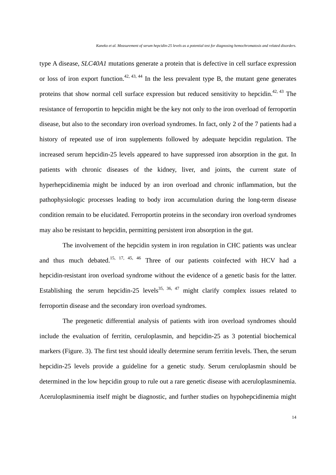type A disease, *SLC40A1* mutations generate a protein that is defective in cell surface expression or loss of iron export function.<sup>42, 43, 44</sup> In the less prevalent type B, the mutant gene generates proteins that show normal cell surface expression but reduced sensitivity to hepcidin.<sup>42, 43</sup> The resistance of ferroportin to hepcidin might be the key not only to the iron overload of ferroportin disease, but also to the secondary iron overload syndromes. In fact, only 2 of the 7 patients had a history of repeated use of iron supplements followed by adequate hepcidin regulation. The increased serum hepcidin-25 levels appeared to have suppressed iron absorption in the gut. In patients with chronic diseases of the kidney, liver, and joints, the current state of hyperhepcidinemia might be induced by an iron overload and chronic inflammation, but the pathophysiologic processes leading to body iron accumulation during the long-term disease condition remain to be elucidated. Ferroportin proteins in the secondary iron overload syndromes may also be resistant to hepcidin, permitting persistent iron absorption in the gut.

The involvement of the hepcidin system in iron regulation in CHC patients was unclear and thus much debated.<sup>15, 17, 45, 46</sup> Three of our patients coinfected with HCV had a hepcidin-resistant iron overload syndrome without the evidence of a genetic basis for the latter. Establishing the serum hepcidin-25 levels<sup>35, 36, 47</sup> might clarify complex issues related to ferroportin disease and the secondary iron overload syndromes.

The pregenetic differential analysis of patients with iron overload syndromes should include the evaluation of ferritin, ceruloplasmin, and hepcidin-25 as 3 potential biochemical markers (Figure. 3). The first test should ideally determine serum ferritin levels. Then, the serum hepcidin-25 levels provide a guideline for a genetic study. Serum ceruloplasmin should be determined in the low hepcidin group to rule out a rare genetic disease with aceruloplasminemia. Aceruloplasminemia itself might be diagnostic, and further studies on hypohepcidinemia might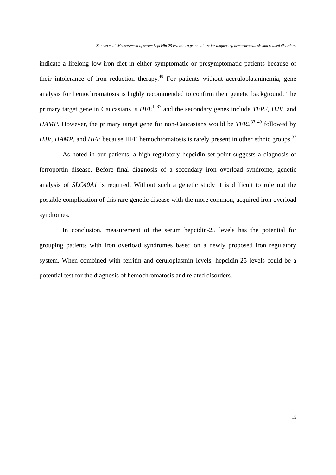indicate a lifelong low-iron diet in either symptomatic or presymptomatic patients because of their intolerance of iron reduction therapy.<sup>48</sup> For patients without aceruloplasminemia, gene analysis for hemochromatosis is highly recommended to confirm their genetic background. The primary target gene in Caucasians is  $HFE^{1, 37}$  and the secondary genes include *TFR2*, *HJV*, and *HAMP*. However, the primary target gene for non-Caucasians would be *TFR2*<sup>33, 49</sup> followed by *HJV*, *HAMP*, and *HFE* because HFE hemochromatosis is rarely present in other ethnic groups.<sup>37</sup>

 As noted in our patients, a high regulatory hepcidin set-point suggests a diagnosis of ferroportin disease. Before final diagnosis of a secondary iron overload syndrome, genetic analysis of *SLC40A1* is required. Without such a genetic study it is difficult to rule out the possible complication of this rare genetic disease with the more common, acquired iron overload syndromes.

In conclusion, measurement of the serum hepcidin-25 levels has the potential for grouping patients with iron overload syndromes based on a newly proposed iron regulatory system. When combined with ferritin and ceruloplasmin levels, hepcidin-25 levels could be a potential test for the diagnosis of hemochromatosis and related disorders.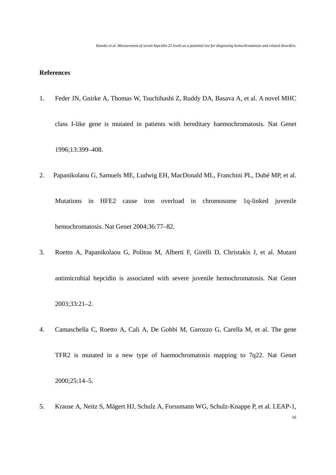# **References**

- 1. Feder JN, Gnirke A, Thomas W, Tsuchihashi Z, Ruddy DA, Basava A, et al. A novel MHC class I-like gene is mutated in patients with hereditary haemochromatosis. Nat Genet 1996;13:399–408.
- 2. Papanikolaou G, Samuels ME, Ludwig EH, MacDonald ML, Franchini PL, Dubé MP, et al. Mutations in HFE2 cause iron overload in chromosome 1q-linked juvenile hemochromatosis. Nat Genet 2004;36:77–82.
- 3. Roetto A, Papanikolaou G, Politou M, Alberti F, Girelli D, Christakis J, et al. Mutant antimicrobial hepcidin is associated with severe juvenile hemochromatosis. Nat Genet 2003;33:21–2.
- 4. Camaschella C, Roetto A, Cali A, De Gobbi M, Garozzo G, Carella M, et al. The gene TFR2 is mutated in a new type of haemochromatosis mapping to 7q22. Nat Genet 2000;25:14–5.
- 5. Krause A, Neitz S, Mägert HJ, Schulz A, Forssmann WG, Schulz-Knappe P, et al. LEAP-1,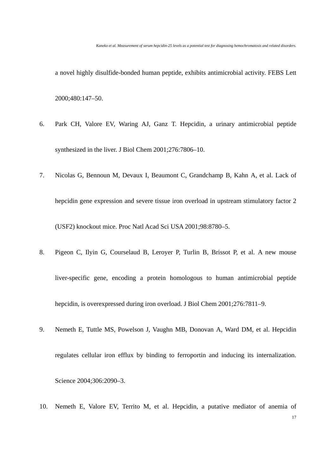a novel highly disulfide-bonded human peptide, exhibits antimicrobial activity. FEBS Lett 2000;480:147–50.

- 6. Park CH, Valore EV, Waring AJ, Ganz T. Hepcidin, a urinary antimicrobial peptide synthesized in the liver. J Biol Chem 2001;276:7806–10.
- 7. Nicolas G, Bennoun M, Devaux I, Beaumont C, Grandchamp B, Kahn A, et al. Lack of hepcidin gene expression and severe tissue iron overload in upstream stimulatory factor 2 (USF2) knockout mice. Proc Natl Acad Sci USA 2001;98:8780–5.
- 8. Pigeon C, Ilyin G, Courselaud B, Leroyer P, Turlin B, Brissot P, et al. A new mouse liver-specific gene, encoding a protein homologous to human antimicrobial peptide hepcidin, is overexpressed during iron overload. J Biol Chem 2001;276:7811–9.
- 9. Nemeth E, Tuttle MS, Powelson J, Vaughn MB, Donovan A, Ward DM, et al. Hepcidin regulates cellular iron efflux by binding to ferroportin and inducing its internalization. Science 2004;306:2090–3.
- 17 10. Nemeth E, Valore EV, Territo M, et al. Hepcidin, a putative mediator of anemia of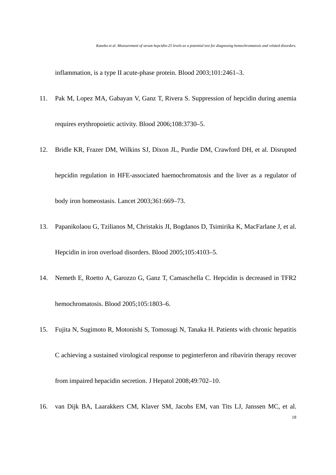inflammation, is a type II acute-phase protein. Blood 2003;101:2461–3.

- 11. Pak M, Lopez MA, Gabayan V, Ganz T, Rivera S. Suppression of hepcidin during anemia requires erythropoietic activity. Blood 2006;108:3730–5.
- 12. Bridle KR, Frazer DM, Wilkins SJ, Dixon JL, Purdie DM, Crawford DH, et al. Disrupted hepcidin regulation in HFE-associated haemochromatosis and the liver as a regulator of body iron homeostasis. Lancet 2003;361:669–73.
- 13. Papanikolaou G, Tzilianos M, Christakis JI, Bogdanos D, Tsimirika K, MacFarlane J, et al. Hepcidin in iron overload disorders. Blood 2005;105:4103–5.
- 14. Nemeth E, Roetto A, Garozzo G, Ganz T, Camaschella C. Hepcidin is decreased in TFR2 hemochromatosis. Blood 2005;105:1803–6.
- 15. Fujita N, Sugimoto R, Motonishi S, Tomosugi N, Tanaka H. Patients with chronic hepatitis C achieving a sustained virological response to peginterferon and ribavirin therapy recover from impaired hepacidin secretion. J Hepatol 2008;49:702–10.
- 16. van Dijk BA, Laarakkers CM, Klaver SM, Jacobs EM, van Tits LJ, Janssen MC, et al.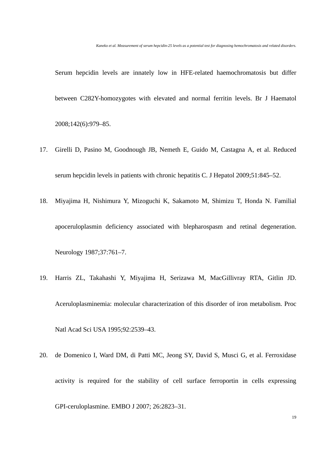Serum hepcidin levels are innately low in HFE-related haemochromatosis but differ between C282Y-homozygotes with elevated and normal ferritin levels. Br J Haematol 2008;142(6):979–85.

- 17. Girelli D, Pasino M, Goodnough JB, Nemeth E, Guido M, Castagna A, et al. Reduced serum hepcidin levels in patients with chronic hepatitis C. J Hepatol 2009;51:845–52.
- 18. Miyajima H, Nishimura Y, Mizoguchi K, Sakamoto M, Shimizu T, Honda N. Familial apoceruloplasmin deficiency associated with blepharospasm and retinal degeneration. Neurology 1987;37:761–7.
- 19. Harris ZL, Takahashi Y, Miyajima H, Serizawa M, MacGillivray RTA, Gitlin JD. Aceruloplasminemia: molecular characterization of this disorder of iron metabolism. Proc Natl Acad Sci USA 1995;92:2539–43.
- 20. de Domenico I, Ward DM, di Patti MC, Jeong SY, David S, Musci G, et al. Ferroxidase activity is required for the stability of cell surface ferroportin in cells expressing GPI-ceruloplasmine. EMBO J 2007; 26:2823–31.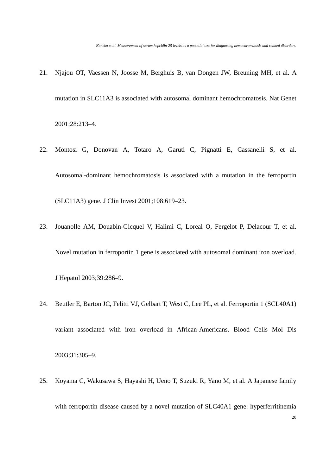- 21. Njajou OT, Vaessen N, Joosse M, Berghuis B, van Dongen JW, Breuning MH, et al. A mutation in SLC11A3 is associated with autosomal dominant hemochromatosis. Nat Genet 2001;28:213–4.
- 22. Montosi G, Donovan A, Totaro A, Garuti C, Pignatti E, Cassanelli S, et al. Autosomal-dominant hemochromatosis is associated with a mutation in the ferroportin (SLC11A3) gene. J Clin Invest 2001;108:619–23.
- 23. Jouanolle AM, Douabin-Gicquel V, Halimi C, Loreal O, Fergelot P, Delacour T, et al. Novel mutation in ferroportin 1 gene is associated with autosomal dominant iron overload. J Hepatol 2003;39:286–9.
- 24. Beutler E, Barton JC, Felitti VJ, Gelbart T, West C, Lee PL, et al. Ferroportin 1 (SCL40A1) variant associated with iron overload in African-Americans. Blood Cells Mol Dis 2003;31:305–9.
- 25. Koyama C, Wakusawa S, Hayashi H, Ueno T, Suzuki R, Yano M, et al. A Japanese family with ferroportin disease caused by a novel mutation of SLC40A1 gene: hyperferritinemia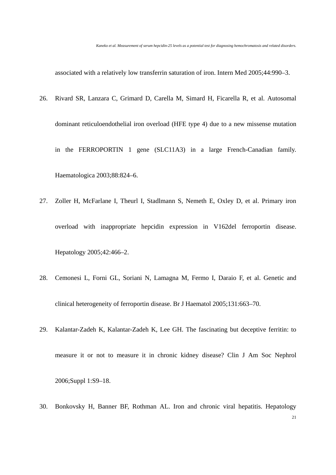associated with a relatively low transferrin saturation of iron. Intern Med 2005;44:990–3.

- 26. Rivard SR, Lanzara C, Grimard D, Carella M, Simard H, Ficarella R, et al. Autosomal dominant reticuloendothelial iron overload (HFE type 4) due to a new missense mutation in the FERROPORTIN 1 gene (SLC11A3) in a large French-Canadian family. Haematologica 2003;88:824–6.
- 27. Zoller H, McFarlane I, Theurl I, Stadlmann S, Nemeth E, Oxley D, et al. Primary iron overload with inappropriate hepcidin expression in V162del ferroportin disease. Hepatology 2005;42:466–2.
- 28. Cemonesi L, Forni GL, Soriani N, Lamagna M, Fermo I, Daraio F, et al. Genetic and clinical heterogeneity of ferroportin disease. Br J Haematol 2005;131:663–70.
- 29. Kalantar-Zadeh K, Kalantar-Zadeh K, Lee GH. The fascinating but deceptive ferritin: to measure it or not to measure it in chronic kidney disease? Clin J Am Soc Nephrol 2006;Suppl 1:S9–18.
- 21 30. Bonkovsky H, Banner BF, Rothman AL. Iron and chronic viral hepatitis. Hepatology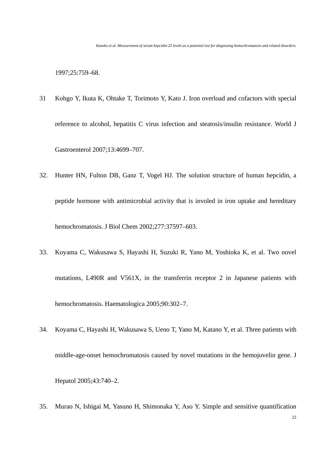1997;25:759–68.

- 31 Kohgo Y, Ikuta K, Ohtake T, Torimoto Y, Kato J. Iron overload and cofactors with special reference to alcohol, hepatitis C virus infection and steatosis/insulin resistance. World J Gastroenterol 2007;13:4699–707.
- 32. Hunter HN, Fulton DB, Ganz T, Vogel HJ. The solution structure of human hepcidin, a peptide hormone with antimicrobial activity that is involed in iron uptake and hereditary hemochromatosis. J Biol Chem 2002;277:37597–603.
- 33. Koyama C, Wakusawa S, Hayashi H, Suzuki R, Yano M, Yoshioka K, et al. Two novel mutations, L490R and V561X, in the transferrin receptor 2 in Japanese patients with hemochromatosis. Haematologica 2005;90:302–7.
- 34. Koyama C, Hayashi H, Wakusawa S, Ueno T, Yano M, Katano Y, et al. Three patients with middle-age-onset hemochromatosis caused by novel mutations in the hemojuvelin gene. J Hepatol 2005;43:740–2.
- 35. Murao N, Ishigai M, Yasuno H, Shimonaka Y, Aso Y. Simple and sensitive quantification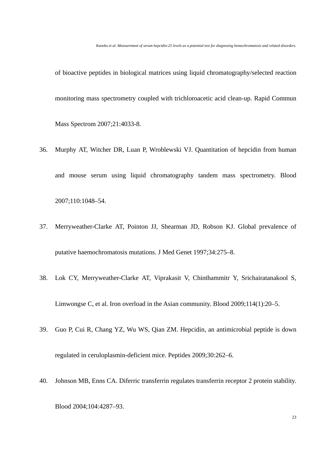of bioactive peptides in biological matrices using liquid chromatography/selected reaction monitoring mass spectrometry coupled with trichloroacetic acid clean-up. Rapid Commun Mass Spectrom 2007;21:4033-8.

- 36. Murphy AT, Witcher DR, Luan P, Wroblewski VJ. Quantitation of hepcidin from human and mouse serum using liquid chromatography tandem mass spectrometry. Blood 2007;110:1048–54.
- 37. Merryweather-Clarke AT, Pointon JJ, Shearman JD, Robson KJ. Global prevalence of putative haemochromatosis mutations. J Med Genet 1997;34:275–8.
- 38. Lok CY, Merryweather-Clarke AT, Viprakasit V, Chinthammitr Y, Srichairatanakool S, Limwongse C, et al. Iron overload in the Asian community. Blood 2009;114(1):20–5.
- 39. Guo P, Cui R, Chang YZ, Wu WS, Qian ZM. Hepcidin, an antimicrobial peptide is down regulated in ceruloplasmin-deficient mice. Peptides 2009;30:262–6.
- 40. Johnson MB, Enns CA. Diferric transferrin regulates transferrin receptor 2 protein stability. Blood 2004;104:4287–93.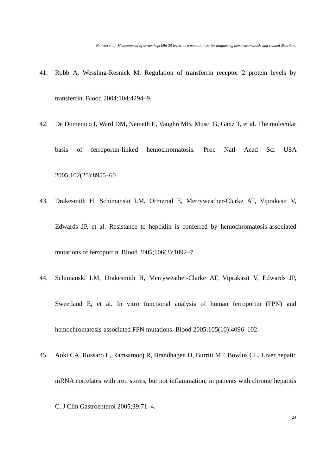- 41. Robb A, Wessling-Resnick M. Regulation of transferrin receptor 2 protein levels by transferrin. Blood 2004;104:4294–9.
- 42. De Domenico I, Ward DM, Nemeth E, Vaughn MB, Musci G, Ganz T, et al. The molecular basis of ferroportin-linked hemochromatosis. Proc Natl Acad Sci USA 2005;102(25):8955–60.
- 43. Drakesmith H, Schimanski LM, Ormerod E, Merryweather-Clarke AT, Viprakasit V, Edwards JP, et al. Resistance to hepcidin is conferred by hemochromatosis-associated mutations of ferroportin. Blood 2005;106(3):1092–7.
- 44. Schimanski LM, Drakesmith H, Merryweather-Clarke AT, Viprakasit V, Edwards JP, Sweetland E, et al. In vitro functional analysis of human ferroportin (FPN) and hemochromatosis-associated FPN mutations. Blood 2005;105(10):4096–102.
- 45. Aoki CA, Rossaro L, Ramsamooj R, Brandhagen D, Burritt MF, Bowlus CL. Liver hepatic mRNA correlates with iron stores, but not inflammation, in patients with chronic hepatitis C. J Clin Gastroenterol 2005;39:71–4.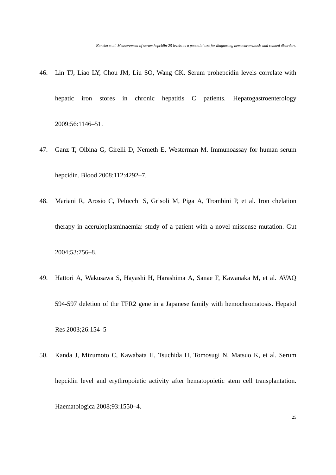- 46. Lin TJ, Liao LY, Chou JM, Liu SO, Wang CK. Serum prohepcidin levels correlate with hepatic iron stores in chronic hepatitis C patients. Hepatogastroenterology 2009;56:1146–51.
- 47. Ganz T, Olbina G, Girelli D, Nemeth E, Westerman M. Immunoassay for human serum hepcidin. Blood 2008;112:4292–7.
- 48. Mariani R, Arosio C, Pelucchi S, Grisoli M, Piga A, Trombini P, et al. Iron chelation therapy in aceruloplasminaemia: study of a patient with a novel missense mutation. Gut 2004;53:756–8.
- 49. Hattori A, Wakusawa S, Hayashi H, Harashima A, Sanae F, Kawanaka M, et al. AVAQ 594-597 deletion of the TFR2 gene in a Japanese family with hemochromatosis. Hepatol Res 2003;26:154–5
- 50. Kanda J, Mizumoto C, Kawabata H, Tsuchida H, Tomosugi N, Matsuo K, et al. Serum hepcidin level and erythropoietic activity after hematopoietic stem cell transplantation. Haematologica 2008;93:1550–4.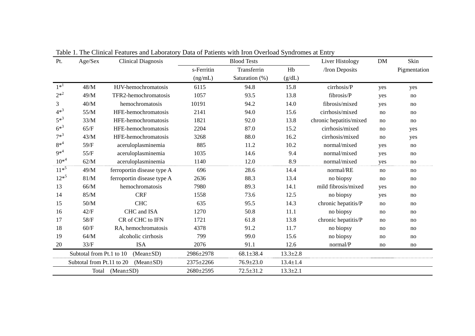| Pt.       | Age/Sex                                      | <b>Clinical Diagnosis</b>  | <b>Blood Tests</b> |                 |                | Liver Histology         | <b>DM</b> | Skin         |
|-----------|----------------------------------------------|----------------------------|--------------------|-----------------|----------------|-------------------------|-----------|--------------|
|           |                                              |                            | s-Ferritin         | Transferrin     | Hb             | /Iron Deposits          |           | Pigmentation |
|           |                                              |                            | (ng/mL)            | Saturation (%)  | (g/dL)         |                         |           |              |
| $1*^1$    | 48/M                                         | HJV-hemochromatosis        | 6115               | 94.8            | 15.8           | cirrhosis/P             | yes       | yes          |
| $2^{*2}$  | 49/M                                         | TFR2-hemochromatosis       | 1057               | 93.5            | 13.8           | fibrosis/P              | yes       | no           |
| 3         | 40/M                                         | hemochromatosis            | 10191              | 94.2            | 14.0           | fibrosis/mixed          | yes       | no           |
| $4*^3$    | 55/M                                         | HFE-hemochromatosis        | 2141               | 94.0            | 15.6           | cirrhosis/mixed         | no        | no           |
| $5*^3$    | 33/M                                         | HFE-hemochromatosis        | 1821               | 92.0            | 13.8           | chronic hepatitis/mixed | no        | no           |
| $6^{*3}$  | 65/F                                         | HFE-hemochromatosis        | 2204               | 87.0            | 15.2           | cirrhosis/mixed         | no        | yes          |
| $7^{*3}$  | 43/M                                         | HFE-hemochromatosis        | 3268               | 88.0            | 16.2           | cirrhosis/mixed         | no        | yes          |
| $8*^4$    | 59/F                                         | aceruloplasminemia         | 885                | 11.2            | 10.2           | normal/mixed            | yes       | no           |
| $9*^4$    | 55/F                                         | aceruloplasminemia         | 1035               | 14.6            | 9.4            | normal/mixed            | yes       | no           |
| $10^{*4}$ | 62/M                                         | aceruloplasminemia         | 1140               | 12.0            | 8.9            | normal/mixed            | yes       | no           |
| $11*^5$   | 49/M                                         | ferroportin disease type A | 696                | 28.6            | 14.4           | normal/RE               | no        | no           |
| $12^{*5}$ | 81/M                                         | ferroportin disease type A | 2636               | 88.3            | 13.4           | no biopsy               | no        | no           |
| 13        | 66/M                                         | hemochromatosis            | 7980               | 89.3            | 14.1           | mild fibrosis/mixed     | yes       | no           |
| 14        | 85/M                                         | <b>CRF</b>                 | 1558               | 73.6            | 12.5           | no biopsy               | yes       | no           |
| 15        | $50/M$                                       | <b>CHC</b>                 | 635                | 95.5            | 14.3           | chronic hepatitis/P     | no        | no           |
| 16        | 42/F                                         | CHC and ISA                | 1270               | 50.8            | 11.1           | no biopsy               | no        | no           |
| 17        | 58/F                                         | CR of CHC to IFN           | 1721               | 61.8            | 13.8           | chronic hepatitis/P     | no        | no           |
| 18        | 60/F                                         | RA, hemochromatosis        | 4378               | 91.2            | 11.7           | no biopsy               | no        | no           |
| 19        | 64/M                                         | alcoholic cirrhosis        | 799                | 99.0            | 15.6           | no biopsy               | no        | no           |
| 20        | 33/F                                         | <b>ISA</b>                 | 2076               | 91.1            | 12.6           | normal/P                | no        | no           |
|           | Subtotal from Pt.1 to 10<br>$(Mean \pm SD)$  |                            | 2986±2978          | $68.1 \pm 38.4$ | $13.3 \pm 2.8$ |                         |           |              |
|           | Subtotal from Pt.11 to 20<br>$(Mean \pm SD)$ |                            | 2375±2266          | $76.9 \pm 23.0$ | $13.4 \pm 1.4$ |                         |           |              |
|           | Total (Mean±SD)                              |                            | 2680±2595          | $72.5 \pm 31.2$ | $13.3 \pm 2.1$ |                         |           |              |

Table 1. The Clinical Features and Laboratory Data of Patients with Iron Overload Syndromes at Entry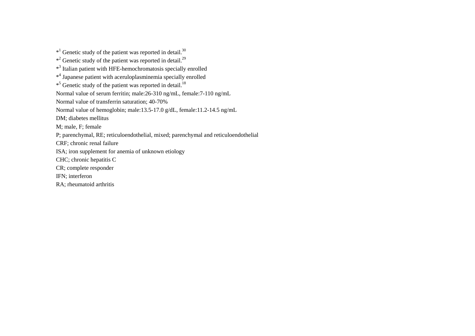$*$ <sup>1</sup> Genetic study of the patient was reported in detail.<sup>30</sup>  $*$ <sup>2</sup> Genetic study of the patient was reported in detail.<sup>29</sup> \*3 Italian patient with HFE-hemochromatosis specially enrolled \*4 Japanese patient with aceruloplasminemia specially enrolled  $*$ <sup>5</sup> Genetic study of the patient was reported in detail.<sup>18</sup> Normal value of serum ferritin; male:26-310 ng/mL, female:7-110 ng/mL Normal value of transferrin saturation; 40-70% Normal value of hemoglobin; male:13.5-17.0 g/dL, female:11.2-14.5 ng/mL DM; diabetes mellitus M; male, F; female P; parenchymal, RE; reticuloendothelial, mixed; parenchymal and reticuloendothelial CRF; chronic renal failure ISA; iron supplement for anemia of unknown etiology CHC; chronic hepatitis C CR; complete responder IFN; interferon RA; rheumatoid arthritis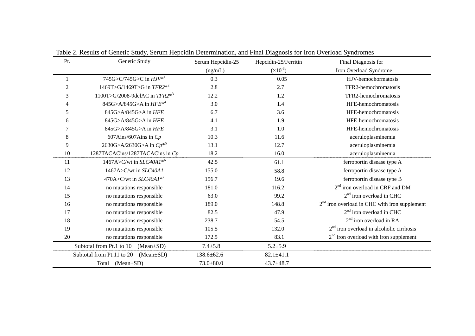| Pt.            | Genetic Study                                | Serum Hepcidin-25 | Hepcidin-25/Ferritin | Final Diagnosis for                             |
|----------------|----------------------------------------------|-------------------|----------------------|-------------------------------------------------|
|                |                                              | (ng/mL)           | $(x10^{-3})$         | Iron Overload Syndrome                          |
|                | 745G>C/745G>C in $H J V^{*1}$                | 0.3               | 0.05                 | HJV-hemochormatosis                             |
| $\overline{2}$ | 1469T>G/1469T>G in $TFR2*^2$                 | 2.8               | 2.7                  | TFR2-hemochromatosis                            |
| 3              | 1100T>G/2008-9delAC in $TFR2^{*3}$           | 12.2              | 1.2                  | TFR2-hemochromatosis                            |
| 4              | 845G>A/845G>A in $HFE^{*4}$                  | 3.0               | 1.4                  | HFE-hemochromatosis                             |
| 5              | 845G>A/845G>A in HFE                         | 6.7               | 3.6                  | HFE-hemochromatosis                             |
| 6              | 845G>A/845G>A in HFE                         | 4.1               | 1.9                  | HFE-hemochromatosis                             |
| 7              | 845G>A/845G>A in HFE                         | 3.1               | 1.0                  | HFE-hemochromatosis                             |
| 8              | 607Ains/607Ains in $Cp$                      | 10.3              | 11.6                 | aceruloplasminemia                              |
| 9              | 2630G>A/2630G>A in $Cp^{*5}$                 | 13.1              | 12.7                 | aceruloplasminemia                              |
| 10             | 1287TACACins/1287TACACins in Cp              | 18.2              | 16.0                 | aceruloplasminemia                              |
| 11             | 1467A>C/wt in $SLC40AI*^{6}$                 | 42.5              | 61.1                 | ferroportin disease type A                      |
| 12             | 1467A>C/wt in SLC40A1                        | 155.0             | 58.8                 | ferroportin disease type A                      |
| 13             | 470A>C/wt in $SLC40A1*^7$                    | 156.7             | 19.6                 | ferroportin disease type B                      |
| 14             | no mutations responsible                     | 181.0             | 116.2                | $2nd$ iron overload in CRF and DM               |
| 15             | no mutations responsible                     | 63.0              | 99.2                 | $2nd$ iron overload in CHC                      |
| 16             | no mutations responsible                     | 189.0             | 148.8                | $2nd$ iron overload in CHC with iron supplement |
| 17             | no mutations responsible                     | 82.5              | 47.9                 | $2nd$ iron overload in CHC                      |
| 18             | no mutations responsible                     | 238.7             | 54.5                 | $2nd$ iron overload in RA                       |
| 19             | no mutations responsible                     | 105.5             | 132.0                | $2nd$ iron overload in alcoholic cirrhosis      |
| 20             | no mutations responsible                     | 172.5             | 83.1                 | $2nd$ iron overload with iron supplement        |
|                | Subtotal from Pt.1 to 10<br>$(Mean \pm SD)$  | $7.4 + 5.8$       | $5.2 + 5.9$          |                                                 |
|                | Subtotal from Pt.11 to 20<br>$(Mean \pm SD)$ | 138.6±62.6        | $82.1 \pm 41.1$      |                                                 |
|                | $(Mean \pm SD)$<br>Total                     | $73.0 \pm 80.0$   | $43.7 + 48.7$        |                                                 |

Table 2. Results of Genetic Study, Serum Hepcidin Determination, and Final Diagnosis for Iron Overload Syndromes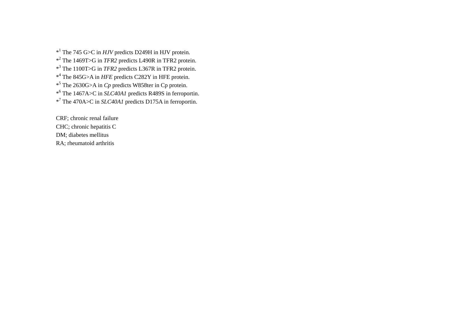\*1 The 745 G>C in *HJV* predicts D249H in HJV protein.

\*2 The 1469T>G in *TFR2* predicts L490R in TFR2 protein.

\*3 The 1100T>G in *TFR2* predicts L367R in TFR2 protein.

\*4 The 845G>A in *HFE* predicts C282Y in HFE protein.

\*5 The 2630G>A in *Cp* predicts W858ter in Cp protein.

\*6 The 1467A>C in *SLC40A1* predicts R489S in ferroportin.

\*7 The 470A>C in *SLC40A1* predicts D175A in ferroportin.

CRF; chronic renal failure CHC; chronic hepatitis C DM; diabetes mellitus RA; rheumatoid arthritis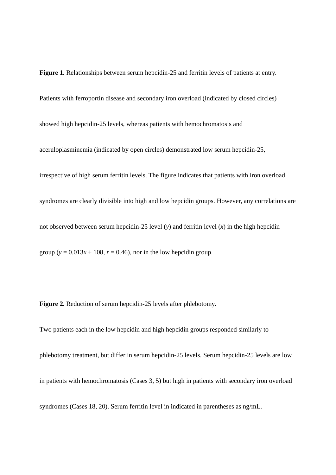**Figure 1.** Relationships between serum hepcidin-25 and ferritin levels of patients at entry. Patients with ferroportin disease and secondary iron overload (indicated by closed circles) showed high hepcidin-25 levels, whereas patients with hemochromatosis and aceruloplasminemia (indicated by open circles) demonstrated low serum hepcidin-25, irrespective of high serum ferritin levels. The figure indicates that patients with iron overload syndromes are clearly divisible into high and low hepcidin groups. However, any correlations are not observed between serum hepcidin-25 level (*y*) and ferritin level (*x*) in the high hepcidin

**Figure 2.** Reduction of serum hepcidin-25 levels after phlebotomy.

group ( $y = 0.013x + 108$ ,  $r = 0.46$ ), nor in the low hepcidin group.

Two patients each in the low hepcidin and high hepcidin groups responded similarly to phlebotomy treatment, but differ in serum hepcidin-25 levels. Serum hepcidin-25 levels are low in patients with hemochromatosis (Cases 3, 5) but high in patients with secondary iron overload syndromes (Cases 18, 20). Serum ferritin level in indicated in parentheses as ng/mL.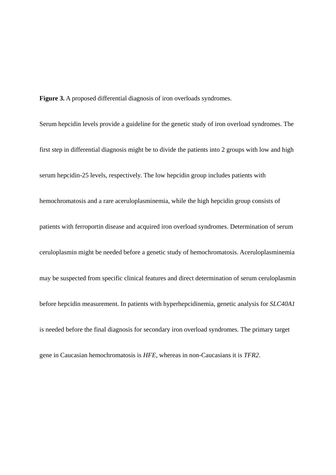**Figure 3.** A proposed differential diagnosis of iron overloads syndromes.

Serum hepcidin levels provide a guideline for the genetic study of iron overload syndromes. The first step in differential diagnosis might be to divide the patients into 2 groups with low and high serum hepcidin-25 levels, respectively. The low hepcidin group includes patients with hemochromatosis and a rare aceruloplasminemia, while the high hepcidin group consists of patients with ferroportin disease and acquired iron overload syndromes. Determination of serum ceruloplasmin might be needed before a genetic study of hemochromatosis. Aceruloplasminemia may be suspected from specific clinical features and direct determination of serum ceruloplasmin before hepcidin measurement. In patients with hyperhepcidinemia, genetic analysis for *SLC40A1* is needed before the final diagnosis for secondary iron overload syndromes. The primary target gene in Caucasian hemochromatosis is *HFE*, whereas in non-Caucasians it is *TFR2*.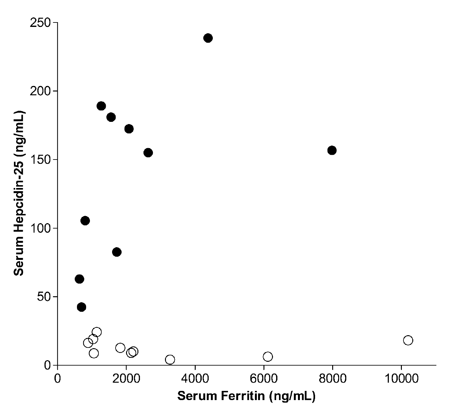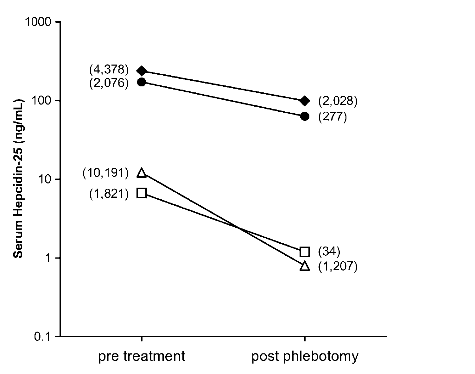